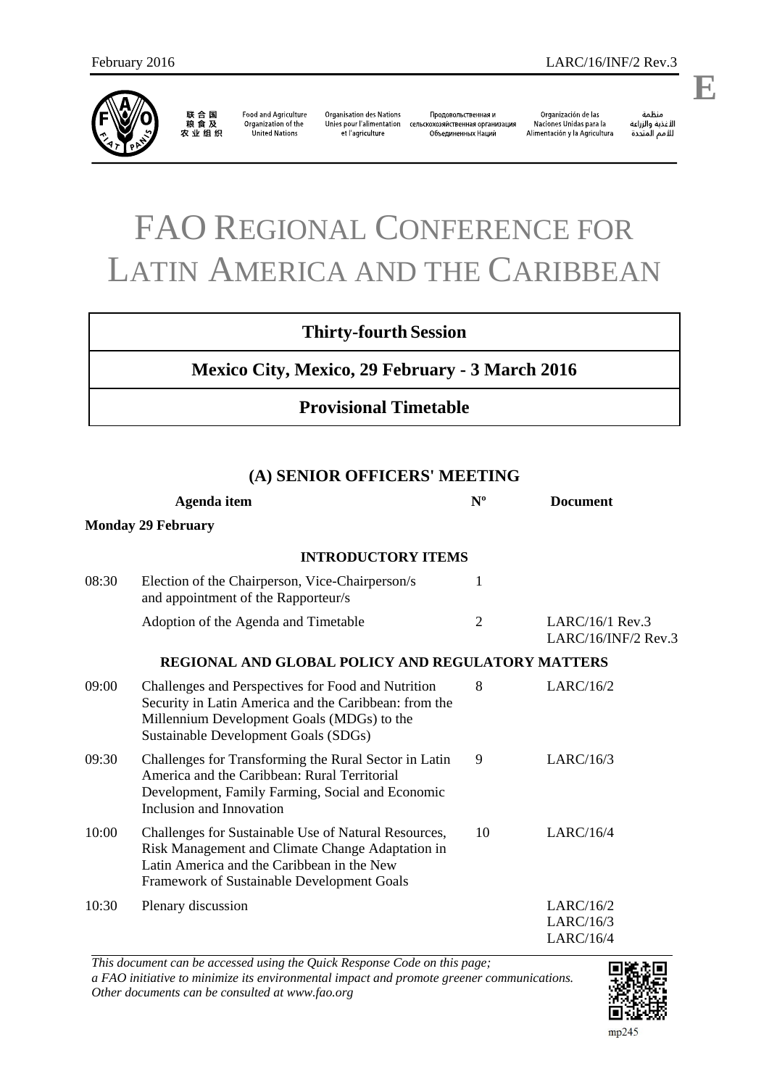

联合国<br>粮食及 农业组织

Food and Agriculture<br>Organization of the United Nations

**Organisation des Nations** Unies pour l'alimentation сельскохозяйственная организация et l'agriculture

Продовольственная и Объединенных Наций

Organización de las Sigunation de las Alimentación y la Agricultura

منظمة سننسه<br>الأغذية والزراعة<br>للأمم المتددة

# FAO REGIONAL CONFERENCE FOR LATIN AMERICA AND THE CARIBBEAN

## **Thirty-fourth Session**

### **Mexico City, Mexico, 29 February - 3 March 2016**

### **Provisional Timetable**

### **(A) SENIOR OFFICERS' MEETING**

| Agenda item |                                                                                                                                                                                                      | $N^{\rm o}$    | <b>Document</b>                          |
|-------------|------------------------------------------------------------------------------------------------------------------------------------------------------------------------------------------------------|----------------|------------------------------------------|
|             | <b>Monday 29 February</b>                                                                                                                                                                            |                |                                          |
|             | <b>INTRODUCTORY ITEMS</b>                                                                                                                                                                            |                |                                          |
| 08:30       | Election of the Chairperson, Vice-Chairperson/s<br>and appointment of the Rapporteur/s                                                                                                               | 1              |                                          |
|             | Adoption of the Agenda and Timetable                                                                                                                                                                 | $\overline{2}$ | LARC/16/1 Rev.3<br>$LARC/16/INF/2$ Rev.3 |
|             | <b>REGIONAL AND GLOBAL POLICY AND REGULATORY MATTERS</b>                                                                                                                                             |                |                                          |
| 09:00       | Challenges and Perspectives for Food and Nutrition<br>Security in Latin America and the Caribbean: from the<br>Millennium Development Goals (MDGs) to the<br>Sustainable Development Goals (SDGs)    | 8              | LARC/16/2                                |
| 09:30       | Challenges for Transforming the Rural Sector in Latin<br>America and the Caribbean: Rural Territorial<br>Development, Family Farming, Social and Economic<br>Inclusion and Innovation                | 9              | LARC/16/3                                |
| 10:00       | Challenges for Sustainable Use of Natural Resources,<br>Risk Management and Climate Change Adaptation in<br>Latin America and the Caribbean in the New<br>Framework of Sustainable Development Goals | 10             | LARC/16/4                                |
| 10:30       | Plenary discussion                                                                                                                                                                                   |                | LARC/16/2<br>LARC/16/3<br>LARC/16/4      |

*This document can be accessed using the Quick Response Code on this page;* 

*a FAO initiative to minimize its environmental impact and promote greener communications. Other documents can be consulted at www.fao.org* 



**E**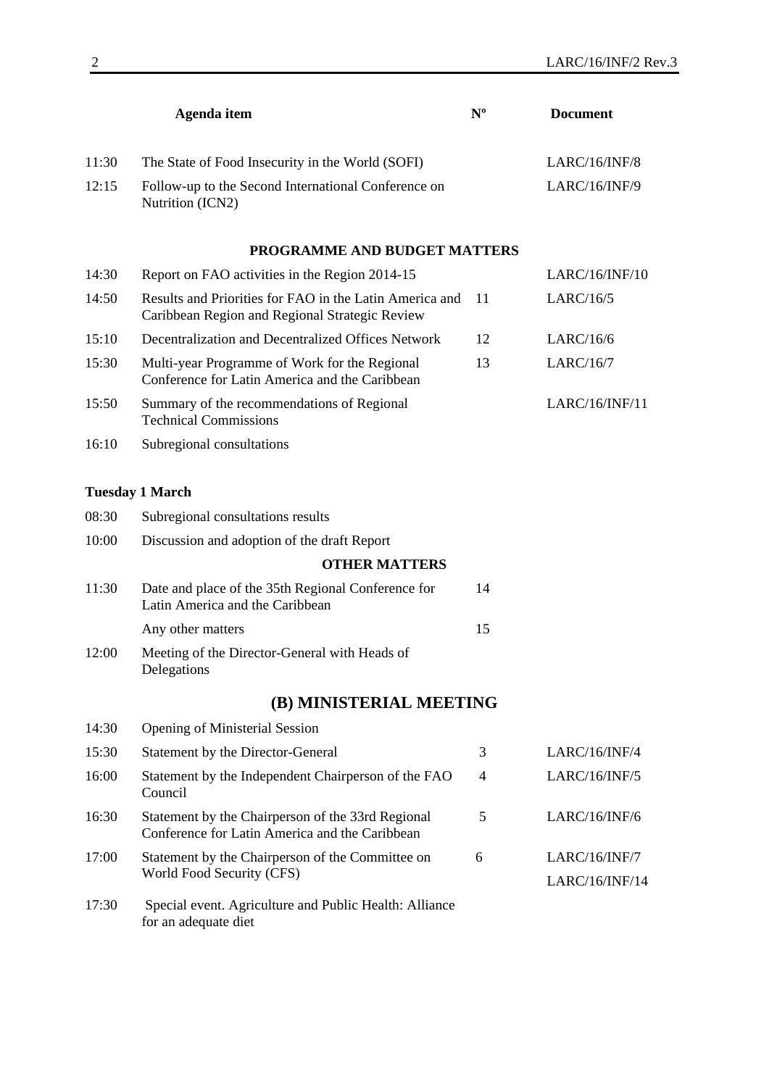| Agenda item |                                                                                                           | $N^{\mathrm{o}}$ | <b>Document</b> |
|-------------|-----------------------------------------------------------------------------------------------------------|------------------|-----------------|
| 11:30       | The State of Food Insecurity in the World (SOFI)                                                          |                  | LARC/16/INF/8   |
| 12:15       | Follow-up to the Second International Conference on<br>Nutrition (ICN2)                                   |                  | LARC/16/INF/9   |
|             | PROGRAMME AND BUDGET MATTERS                                                                              |                  |                 |
| 14:30       | Report on FAO activities in the Region 2014-15                                                            |                  | LARC/16/INF/10  |
| 14:50       | Results and Priorities for FAO in the Latin America and<br>Caribbean Region and Regional Strategic Review | 11               | LARC/16/5       |
| 15:10       | Decentralization and Decentralized Offices Network                                                        | 12               | LARC/16/6       |
| 15:30       | Multi-year Programme of Work for the Regional<br>Conference for Latin America and the Caribbean           | 13               | LARC/16/7       |
| 15:50       | Summary of the recommendations of Regional<br><b>Technical Commissions</b>                                |                  | LARC/16/INF/11  |
| 16:10       | Subregional consultations                                                                                 |                  |                 |
|             | <b>Tuesday 1 March</b>                                                                                    |                  |                 |
| 08:30       | Subregional consultations results                                                                         |                  |                 |
| 10:00       | Discussion and adoption of the draft Report                                                               |                  |                 |
|             | <b>OTHER MATTERS</b>                                                                                      |                  |                 |
| 11:30       | Date and place of the 35th Regional Conference for<br>Latin America and the Caribbean                     | 14               |                 |
|             | Any other matters                                                                                         | 15               |                 |
| 12:00       | Meeting of the Director-General with Heads of<br>Delegations                                              |                  |                 |
|             | (B) MINISTERIAL MEETING                                                                                   |                  |                 |
| 14:30       | <b>Opening of Ministerial Session</b>                                                                     |                  |                 |
| 15:30       | Statement by the Director-General                                                                         | 3                | LARC/16/INF/4   |
| 16:00       | Statement by the Independent Chairperson of the FAO<br>Council                                            | $\overline{4}$   | LARC/16/INF/5   |
| 16:30       | Statement by the Chairperson of the 33rd Regional<br>Conference for Latin America and the Caribbean       | 5                | LARC/16/INF/6   |
| 17:00       | Statement by the Chairperson of the Committee on<br>World Food Security (CFS)                             | 6                | LARC/16/INF/7   |
|             |                                                                                                           |                  | LARC/16/INF/14  |
| 17:30       | Special event. Agriculture and Public Health: Alliance<br>for an adequate diet                            |                  |                 |